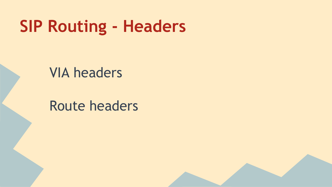## **SIP Routing - Headers**

#### VIA headers

#### Route headers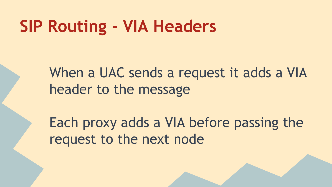## **SIP Routing - VIA Headers**

When a UAC sends a request it adds a VIA header to the message

Each proxy adds a VIA before passing the request to the next node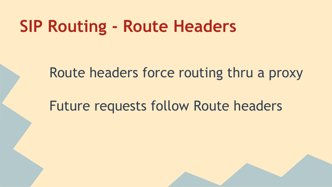## **SIP Routing - Route Headers**

Route headers force routing thru a proxy

Future requests follow Route headers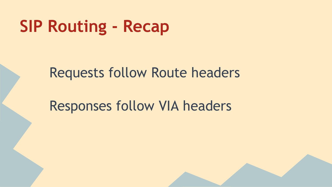# **SIP Routing - Recap**

#### Requests follow Route headers

#### Responses follow VIA headers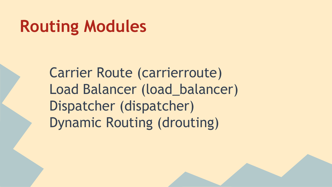# **Routing Modules**

Carrier Route (carrierroute) Load Balancer (load\_balancer) Dispatcher (dispatcher) Dynamic Routing (drouting)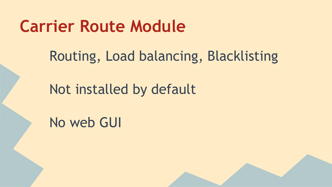## **Carrier Route Module**

Routing, Load balancing, Blacklisting

#### Not installed by default

No web GUI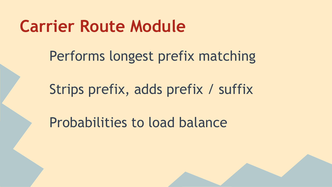## **Carrier Route Module**

Performs longest prefix matching

Strips prefix, adds prefix / suffix

Probabilities to load balance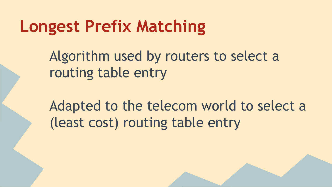## **Longest Prefix Matching**

Algorithm used by routers to select a routing table entry

Adapted to the telecom world to select a (least cost) routing table entry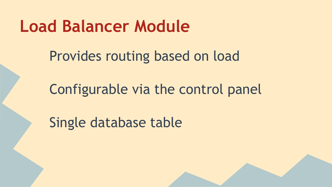## **Load Balancer Module**

Provides routing based on load

Configurable via the control panel

Single database table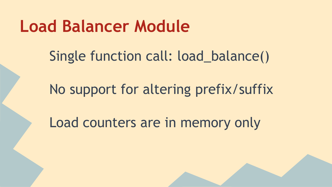## **Load Balancer Module**

Single function call: load\_balance()

No support for altering prefix/suffix

Load counters are in memory only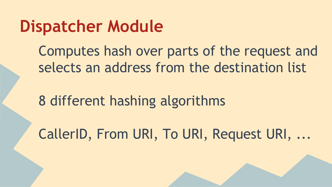## **Dispatcher Module**

Computes hash over parts of the request and selects an address from the destination list

8 different hashing algorithms

CallerID, From URI, To URI, Request URI, ...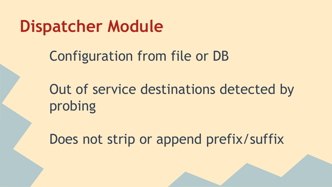## **Dispatcher Module**

### Configuration from file or DB

Out of service destinations detected by probing

Does not strip or append prefix/suffix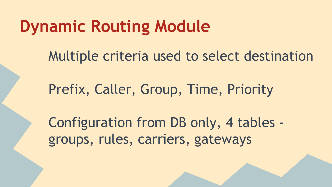## **Dynamic Routing Module**

Multiple criteria used to select destination

Prefix, Caller, Group, Time, Priority

Configuration from DB only, 4 tables groups, rules, carriers, gateways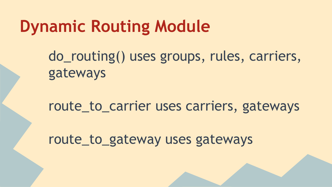## **Dynamic Routing Module**

do\_routing() uses groups, rules, carriers, gateways

route\_to\_carrier uses carriers, gateways

route\_to\_gateway uses gateways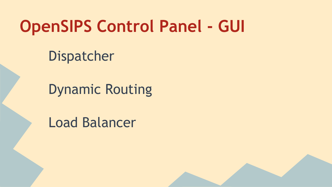# **OpenSIPS Control Panel - GUI**

Dispatcher

Dynamic Routing

Load Balancer